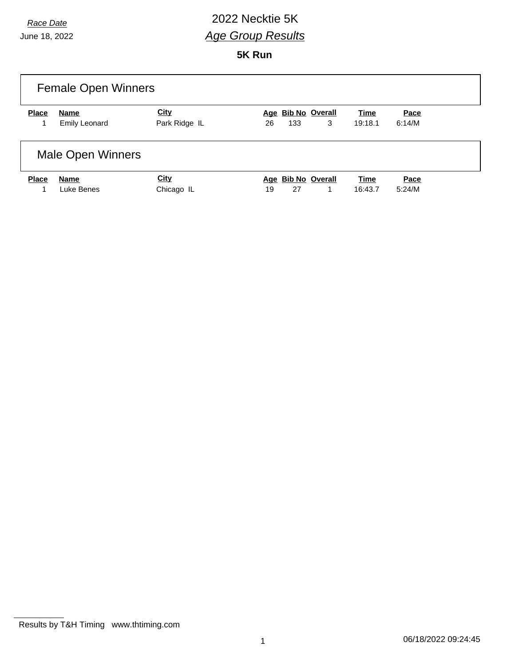#### *Race Date* 2022 Necktie 5K *Age Group Results*

**5K Run**

| <b>Female Open Winners</b> |                          |               |                          |             |        |  |  |  |
|----------------------------|--------------------------|---------------|--------------------------|-------------|--------|--|--|--|
| <b>Place</b>               | Name                     | <b>City</b>   | Age Bib No Overall       | Time        | Pace   |  |  |  |
|                            | <b>Emily Leonard</b>     | Park Ridge IL | 3<br>133<br>26           | 19:18.1     | 6:14/M |  |  |  |
|                            | <b>Male Open Winners</b> |               |                          |             |        |  |  |  |
| <b>Place</b>               | Name                     | <b>City</b>   | Age Bib No Overall       | <b>Time</b> | Pace   |  |  |  |
| 1                          | Luke Benes               | Chicago IL    | 27<br>19<br>$\mathbf{1}$ | 16:43.7     | 5:24/M |  |  |  |

Results by T&H Timing www.thtiming.com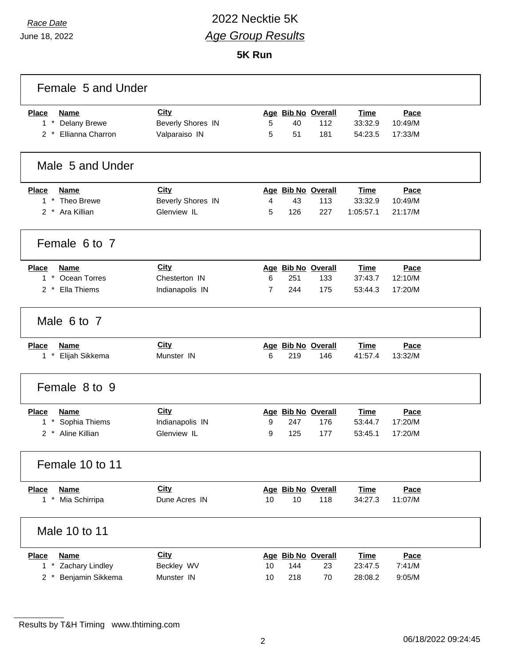## *Race Date* 2022 Necktie 5K *Age Group Results*

| Female 5 and Under                        |                          |    |     |                    |             |         |  |
|-------------------------------------------|--------------------------|----|-----|--------------------|-------------|---------|--|
| <b>Place</b><br><b>Name</b>               | <b>City</b>              |    |     | Age Bib No Overall | <b>Time</b> | Pace    |  |
| $1 *$<br><b>Delany Brewe</b>              | <b>Beverly Shores IN</b> | 5  | 40  | 112                | 33:32.9     | 10:49/M |  |
| 2 * Ellianna Charron                      | Valparaiso IN            | 5  | 51  | 181                | 54:23.5     | 17:33/M |  |
| Male 5 and Under                          |                          |    |     |                    |             |         |  |
| <b>Place</b><br><b>Name</b>               | <b>City</b>              |    |     | Age Bib No Overall | <b>Time</b> | Pace    |  |
| 1 * Theo Brewe                            | <b>Beverly Shores IN</b> | 4  | 43  | 113                | 33:32.9     | 10:49/M |  |
| 2 * Ara Killian                           | Glenview IL              | 5  | 126 | 227                | 1:05:57.1   | 21:17/M |  |
| Female 6 to 7                             |                          |    |     |                    |             |         |  |
| <b>Place</b><br><b>Name</b>               | City                     |    |     | Age Bib No Overall | <b>Time</b> | Pace    |  |
| $1*$<br>Ocean Torres                      | Chesterton IN            | 6  | 251 | 133                | 37:43.7     | 12:10/M |  |
| Ella Thiems<br>$2^*$                      | Indianapolis IN          | 7  | 244 | 175                | 53:44.3     | 17:20/M |  |
| Male 6 to 7                               |                          |    |     |                    |             |         |  |
| <b>Place</b><br><b>Name</b>               | <b>City</b>              |    |     | Age Bib No Overall | <b>Time</b> | Pace    |  |
| $\star$<br>Elijah Sikkema<br>$\mathbf{1}$ | Munster IN               | 6  | 219 | 146                | 41:57.4     | 13:32/M |  |
| Female 8 to 9                             |                          |    |     |                    |             |         |  |
| <b>Place</b><br><b>Name</b>               | <b>City</b>              |    |     | Age Bib No Overall | <b>Time</b> | Pace    |  |
| Sophia Thiems<br>$\star$<br>1             | Indianapolis IN          | 9  | 247 | 176                | 53:44.7     | 17:20/M |  |
| Aline Killian<br>$\overline{2}$           | Glenview IL              | 9  | 125 | 177                | 53:45.1     | 17:20/M |  |
| Female 10 to 11                           |                          |    |     |                    |             |         |  |
| <b>Place</b><br><b>Name</b>               | City                     |    |     | Age Bib No Overall | <b>Time</b> | Pace    |  |
| Mia Schirripa<br>$1$ *                    | Dune Acres IN            | 10 | 10  | 118                | 34:27.3     | 11:07/M |  |
| Male 10 to 11                             |                          |    |     |                    |             |         |  |
| <b>Place</b><br><b>Name</b>               | <b>City</b>              |    |     | Age Bib No Overall | <b>Time</b> | Pace    |  |
| Zachary Lindley<br>$1$ *                  | Beckley WV               | 10 | 144 | 23                 | 23:47.5     | 7:41/M  |  |
| Benjamin Sikkema<br>2 *                   | Munster IN               | 10 | 218 | 70                 | 28:08.2     | 9:05/M  |  |

Results by T&H Timing www.thtiming.com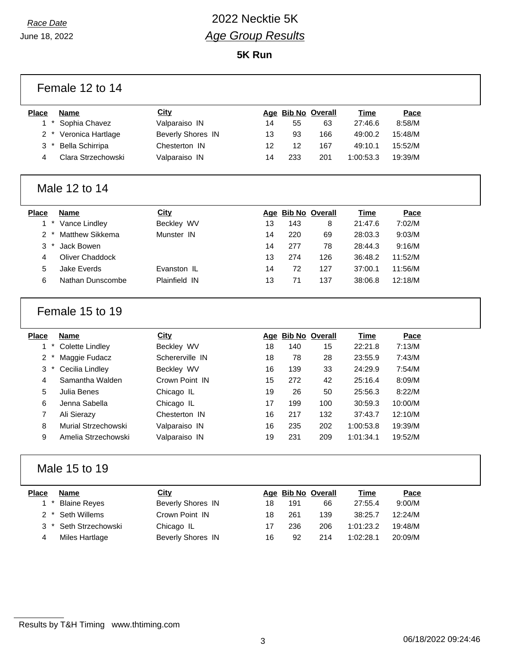### *Race Date* 2022 Necktie 5K *Age Group Results*

| Female 12 to 14                          |                          |    |     |                    |             |         |  |  |  |
|------------------------------------------|--------------------------|----|-----|--------------------|-------------|---------|--|--|--|
| <b>Place</b><br><b>Name</b>              | City                     |    |     | Age Bib No Overall | Time        | Pace    |  |  |  |
| $\star$<br>Sophia Chavez<br>$\mathbf{1}$ | Valparaiso IN            | 14 | 55  | 63                 | 27:46.6     | 8:58/M  |  |  |  |
| 2<br>Veronica Hartlage                   | <b>Beverly Shores IN</b> | 13 | 93  | 166                | 49:00.2     | 15:48/M |  |  |  |
| 3<br>Bella Schirripa                     | Chesterton IN            | 12 | 12  | 167                | 49:10.1     | 15:52/M |  |  |  |
| Clara Strzechowski<br>4                  | Valparaiso IN            | 14 | 233 | 201                | 1:00:53.3   | 19:39/M |  |  |  |
| Male 12 to 14                            |                          |    |     |                    |             |         |  |  |  |
| <b>Place</b><br><b>Name</b>              | <b>City</b>              |    |     | Age Bib No Overall | Time        | Pace    |  |  |  |
| 1<br>$^\star$<br>Vance Lindley           | Beckley WV               | 13 | 143 | 8                  | 21:47.6     | 7:02/M  |  |  |  |
| Matthew Sikkema<br>$\overline{2}$        | Munster IN               | 14 | 220 | 69                 | 28:03.3     | 9:03/M  |  |  |  |
| 3<br>Jack Bowen                          |                          | 14 | 277 | 78                 | 28:44.3     | 9:16/M  |  |  |  |
| <b>Oliver Chaddock</b><br>4              |                          | 13 | 274 | 126                | 36:48.2     | 11:52/M |  |  |  |
| 5<br><b>Jake Everds</b>                  | Evanston IL              | 14 | 72  | 127                | 37:00.1     | 11:56/M |  |  |  |
| 6<br>Nathan Dunscombe                    | Plainfield IN            | 13 | 71  | 137                | 38:06.8     | 12:18/M |  |  |  |
| Female 15 to 19                          |                          |    |     |                    |             |         |  |  |  |
| <b>Place</b><br><b>Name</b>              | <b>City</b>              |    |     | Age Bib No Overall | Time        | Pace    |  |  |  |
| <b>Colette Lindley</b><br>$\mathbf{1}$   | Beckley WV               | 18 | 140 | 15                 | 22:21.8     | 7:13/M  |  |  |  |
| 2<br>Maggie Fudacz                       | Schererville IN          | 18 | 78  | 28                 | 23:55.9     | 7:43/M  |  |  |  |
| 3<br>Cecilia Lindley                     | Beckley WV               | 16 | 139 | 33                 | 24:29.9     | 7:54/M  |  |  |  |
| Samantha Walden<br>4                     | Crown Point IN           | 15 | 272 | 42                 | 25:16.4     | 8:09/M  |  |  |  |
| 5<br>Julia Benes                         | Chicago IL               | 19 | 26  | 50                 | 25:56.3     | 8:22/M  |  |  |  |
| Jenna Sabella<br>6                       | Chicago IL               | 17 | 199 | 100                | 30:59.3     | 10:00/M |  |  |  |
| Ali Sierazy<br>7                         | Chesterton IN            | 16 | 217 | 132                | 37:43.7     | 12:10/M |  |  |  |
| 8<br>Murial Strzechowski                 | Valparaiso IN            | 16 | 235 | 202                | 1:00:53.8   | 19:39/M |  |  |  |
| Amelia Strzechowski<br>9                 | Valparaiso IN            | 19 | 231 | 209                | 1:01:34.1   | 19:52/M |  |  |  |
| Male 15 to 19                            |                          |    |     |                    |             |         |  |  |  |
| <b>Name</b><br><b>Place</b>              | <b>City</b>              |    |     | Age Bib No Overall | <b>Time</b> | Pace    |  |  |  |
| <b>Blaine Reyes</b><br>$\mathbf{1}$      |                          | 18 | 191 | 66                 | 27:55.4     | 9:00/M  |  |  |  |
|                                          | <b>Beverly Shores IN</b> |    |     |                    |             |         |  |  |  |
| Seth Willems<br>2                        | Crown Point IN           | 18 | 261 | 139                | 38:25.7     | 12:24/M |  |  |  |
| Seth Strzechowski<br>3                   | Chicago IL               | 17 | 236 | 206                | 1:01:23.2   | 19:48/M |  |  |  |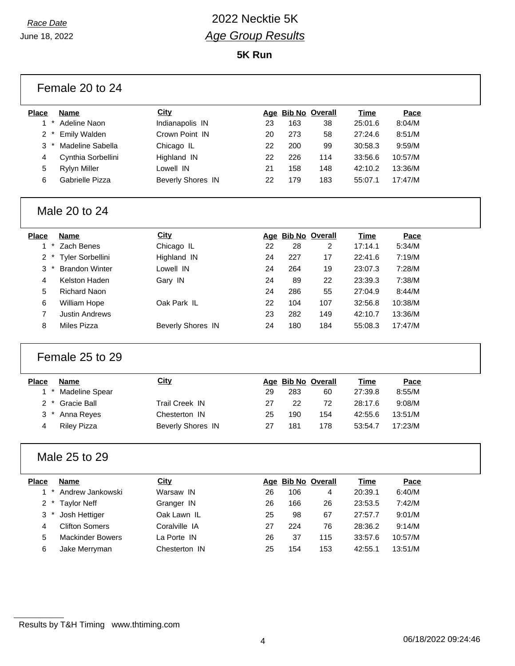| Female 20 to 24                                  |                          |    |     |                    |             |         |  |
|--------------------------------------------------|--------------------------|----|-----|--------------------|-------------|---------|--|
| <b>Place</b><br><b>Name</b>                      | <b>City</b>              |    |     | Age Bib No Overall | <b>Time</b> | Pace    |  |
| $\pmb{\ast}$<br>Adeline Naon<br>1                | Indianapolis IN          | 23 | 163 | 38                 | 25:01.6     | 8:04/M  |  |
| $\overline{2}$<br>Emily Walden                   | Crown Point IN           | 20 | 273 | 58                 | 27:24.6     | 8:51/M  |  |
| 3<br>Madeline Sabella                            | Chicago IL               | 22 | 200 | 99                 | 30:58.3     | 9:59/M  |  |
| Cynthia Sorbellini<br>4                          | Highland IN              | 22 | 226 | 114                | 33:56.6     | 10:57/M |  |
| 5<br><b>Rylyn Miller</b>                         | Lowell IN                | 21 | 158 | 148                | 42:10.2     | 13:36/M |  |
| 6<br>Gabrielle Pizza                             | <b>Beverly Shores IN</b> | 22 | 179 | 183                | 55:07.1     | 17:47/M |  |
| Male 20 to 24                                    |                          |    |     |                    |             |         |  |
| Place<br><b>Name</b>                             | <b>City</b>              |    |     | Age Bib No Overall | <b>Time</b> | Pace    |  |
| $^\star$<br>Zach Benes<br>1.                     | Chicago IL               | 22 | 28  | $\overline{2}$     | 17:14.1     | 5:34/M  |  |
| $^\star$<br>Tyler Sorbellini<br>2                | Highland IN              | 24 | 227 | 17                 | 22:41.6     | 7:19/M  |  |
| 3<br><b>Brandon Winter</b>                       | Lowell IN                | 24 | 264 | 19                 | 23:07.3     | 7:28/M  |  |
| Kelston Haden<br>4                               | Gary IN                  | 24 | 89  | 22                 | 23:39.3     | 7:38/M  |  |
| 5<br><b>Richard Naon</b>                         |                          | 24 | 286 | 55                 | 27:04.9     | 8:44/M  |  |
| 6<br>William Hope                                | Oak Park IL              | 22 | 104 | 107                | 32:56.8     | 10:38/M |  |
| $\overline{7}$<br><b>Justin Andrews</b>          |                          | 23 | 282 | 149                | 42:10.7     | 13:36/M |  |
| 8<br>Miles Pizza                                 | <b>Beverly Shores IN</b> | 24 | 180 | 184                | 55:08.3     | 17:47/M |  |
| Female 25 to 29                                  |                          |    |     |                    |             |         |  |
| <b>Place</b><br><b>Name</b>                      | <b>City</b>              |    |     | Age Bib No Overall | <b>Time</b> | Pace    |  |
| $1*$<br><b>Madeline Spear</b>                    |                          | 29 | 283 | 60                 | 27:39.8     | 8:55/M  |  |
| $\overline{2}$<br>$^\star$<br><b>Gracie Ball</b> | <b>Trail Creek IN</b>    | 27 | 22  | 72                 | 28:17.6     | 9:08/M  |  |
| 3<br>Anna Reyes                                  | Chesterton IN            | 25 | 190 | 154                | 42:55.6     | 13:51/M |  |
| <b>Riley Pizza</b><br>4                          | <b>Beverly Shores IN</b> | 27 | 181 | 178                | 53:54.7     | 17:23/M |  |
| Male 25 to 29                                    |                          |    |     |                    |             |         |  |
| <b>Place</b><br><b>Name</b>                      | <b>City</b>              |    |     | Age Bib No Overall | <b>Time</b> | Pace    |  |
| $\star$<br>Andrew Jankowski<br>1                 | Warsaw IN                | 26 | 106 | 4                  | 20:39.1     | 6:40/M  |  |
| $\overline{2}$<br><b>Taylor Neff</b>             | Granger IN               | 26 | 166 | 26                 | 23:53.5     | 7:42/M  |  |
| 3<br>Josh Hettiger                               | Oak Lawn IL              | 25 | 98  | 67                 | 27:57.7     | 9:01/M  |  |
| <b>Clifton Somers</b><br>4                       | Coralville IA            | 27 | 224 | 76                 | 28:36.2     | 9:14/M  |  |
| 5<br><b>Mackinder Bowers</b>                     | La Porte IN              | 26 | 37  | 115                | 33:57.6     | 10:57/M |  |
| 6<br>Jake Merryman                               | Chesterton IN            | 25 | 154 | 153                | 42:55.1     | 13:51/M |  |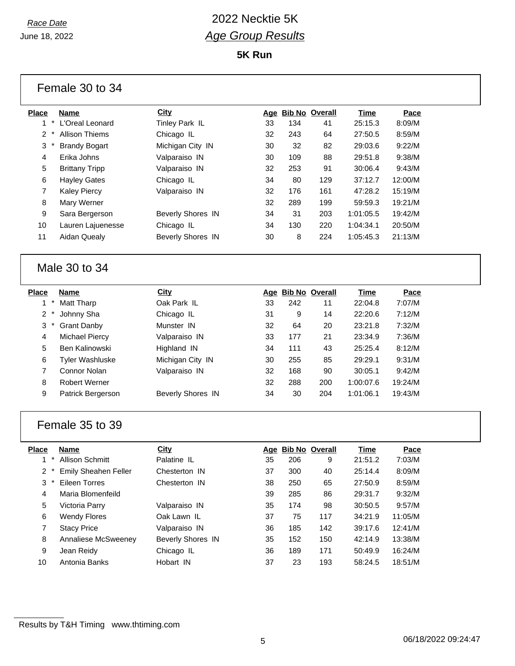$\Gamma$ 

### *Race Date* 2022 Necktie 5K *Age Group Results*

| <b>Place</b>      | Name                   | <b>City</b>              |    |     | Age Bib No Overall | Time        | Pace    |
|-------------------|------------------------|--------------------------|----|-----|--------------------|-------------|---------|
| $1 *$             | L'Oreal Leonard        | Tinley Park IL           | 33 | 134 | 41                 | 25:15.3     | 8:09/M  |
| $2 *$             | <b>Allison Thiems</b>  | Chicago IL               | 32 | 243 | 64                 | 27:50.5     | 8:59/M  |
| 3                 | <b>Brandy Bogart</b>   | Michigan City IN         | 30 | 32  | 82                 | 29:03.6     | 9:22/M  |
| 4                 | Erika Johns            | Valparaiso IN            | 30 | 109 | 88                 | 29:51.8     | 9:38/M  |
| 5                 | <b>Brittany Tripp</b>  | Valparaiso IN            | 32 | 253 | 91                 | 30:06.4     | 9:43/M  |
| 6                 | <b>Hayley Gates</b>    | Chicago IL               | 34 | 80  | 129                | 37:12.7     | 12:00/M |
| $\overline{7}$    | <b>Kaley Piercy</b>    | Valparaiso IN            | 32 | 176 | 161                | 47:28.2     | 15:19/M |
| 8                 | Mary Werner            |                          | 32 | 289 | 199                | 59:59.3     | 19:21/M |
| 9                 | Sara Bergerson         | <b>Beverly Shores IN</b> | 34 | 31  | 203                | 1:01:05.5   | 19:42/M |
| 10                | Lauren Lajuenesse      | Chicago IL               | 34 | 130 | 220                | 1:04:34.1   | 20:50/M |
| 11                | Aidan Quealy           | <b>Beverly Shores IN</b> | 30 | 8   | 224                | 1:05:45.3   | 21:13/M |
|                   | Male 30 to 34          |                          |    |     |                    |             |         |
| <b>Place</b>      | <b>Name</b>            | <b>City</b>              |    |     | Age Bib No Overall | <b>Time</b> | Pace    |
| $1 *$             | Matt Tharp             | Oak Park IL              | 33 | 242 | 11                 | 22:04.8     | 7:07/M  |
| $2*$              | Johnny Sha             | Chicago IL               | 31 | 9   | 14                 | 22:20.6     | 7:12/M  |
| 3<br>$\pmb{\ast}$ | <b>Grant Danby</b>     | Munster IN               | 32 | 64  | 20                 | 23:21.8     | 7:32/M  |
| 4                 | <b>Michael Piercy</b>  | Valparaiso IN            | 33 | 177 | 21                 | 23:34.9     | 7:36/M  |
| 5                 | Ben Kalinowski         | Highland IN              | 34 | 111 | 43                 | 25:25.4     | 8:12/M  |
| 6                 | <b>Tyler Washluske</b> | Michigan City IN         | 30 | 255 | 85                 | 29:29.1     | 9:31/M  |
| $\overline{7}$    | Connor Nolan           | Valparaiso IN            | 32 | 168 | 90                 | 30:05.1     | 9:42/M  |
| 8                 | Robert Werner          |                          | 32 | 288 | 200                | 1:00:07.6   | 19:24/M |
| 9                 | Patrick Bergerson      | <b>Beverly Shores IN</b> | 34 | 30  | 204                | 1:01:06.1   | 19:43/M |
|                   | Female 35 to 39        |                          |    |     |                    |             |         |
| <b>Place</b>      | <b>Name</b>            | <b>City</b>              |    |     | Age Bib No Overall | Time        | Pace    |
|                   | 1 * Allison Schmitt    | Palatine IL              | 35 | 206 | 9                  | 21:51.2     | 7:03/M  |
| $2*$              | Emily Sheahen Feller   | Chesterton IN            | 37 | 300 | 40                 | 25:14.4     | 8:09/M  |
| 3                 | <b>Eileen Torres</b>   | Chesterton IN            | 38 | 250 | 65                 | 27:50.9     | 8:59/M  |
| 4                 | Maria Blomenfeild      |                          | 39 | 285 | 86                 | 29:31.7     | 9:32/M  |
| 5                 | Victoria Parry         | Valparaiso IN            | 35 | 174 | 98                 | 30:50.5     | 9:57/M  |
| $\,6$             | <b>Wendy Flores</b>    | Oak Lawn IL              | 37 | 75  | 117                | 34:21.9     | 11:05/M |
| $\overline{7}$    | <b>Stacy Price</b>     | Valparaiso IN            | 36 | 185 | 142                | 39:17.6     | 12:41/M |
| 8                 | Annaliese McSweeney    | Beverly Shores IN        | 35 | 152 | 150                | 42:14.9     | 13:38/M |
| 9                 | Jean Reidy             | Chicago IL               | 36 | 189 | 171                | 50:49.9     | 16:24/M |
| 10                | Antonia Banks          | Hobart IN                | 37 | 23  | 193                | 58:24.5     | 18:51/M |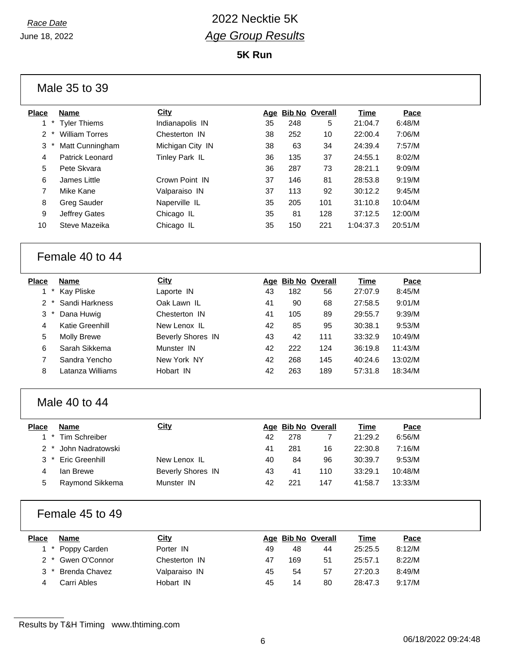**5K Run**

|                | Male 35 to 39         |                          |    |                    |                |             |         |  |
|----------------|-----------------------|--------------------------|----|--------------------|----------------|-------------|---------|--|
| <b>Place</b>   | <b>Name</b>           | <b>City</b>              |    | Age Bib No Overall |                | <b>Time</b> | Pace    |  |
| $1 *$          | <b>Tyler Thiems</b>   | Indianapolis IN          | 35 | 248                | 5              | 21:04.7     | 6:48/M  |  |
| $\overline{2}$ | <b>William Torres</b> | Chesterton IN            | 38 | 252                | 10             | 22:00.4     | 7:06/M  |  |
| 3<br>$\ast$    | Matt Cunningham       | Michigan City IN         | 38 | 63                 | 34             | 24:39.4     | 7:57/M  |  |
| 4              | Patrick Leonard       | Tinley Park IL           | 36 | 135                | 37             | 24:55.1     | 8:02/M  |  |
| 5              | Pete Skvara           |                          | 36 | 287                | 73             | 28:21.1     | 9:09/M  |  |
| 6              | James Little          | Crown Point IN           | 37 | 146                | 81             | 28:53.8     | 9:19/M  |  |
| 7              | Mike Kane             | Valparaiso IN            | 37 | 113                | 92             | 30:12.2     | 9:45/M  |  |
| 8              | <b>Greg Sauder</b>    | Naperville IL            | 35 | 205                | 101            | 31:10.8     | 10:04/M |  |
| 9              | Jeffrey Gates         | Chicago IL               | 35 | 81                 | 128            | 37:12.5     | 12:00/M |  |
| 10             | Steve Mazeika         | Chicago IL               | 35 | 150                | 221            | 1:04:37.3   | 20:51/M |  |
|                | Female 40 to 44       |                          |    |                    |                |             |         |  |
| <b>Place</b>   | <b>Name</b>           | City                     |    | Age Bib No Overall |                | <b>Time</b> | Pace    |  |
| $^\star$<br>1  | Kay Pliske            | Laporte IN               | 43 | 182                | 56             | 27:07.9     | 8:45/M  |  |
| $2 *$          | Sandi Harkness        | Oak Lawn IL              | 41 | 90                 | 68             | 27:58.5     | 9:01/M  |  |
| 3              | Dana Huwig            | Chesterton IN            | 41 | 105                | 89             | 29:55.7     | 9:39/M  |  |
| 4              | Katie Greenhill       | New Lenox IL             | 42 | 85                 | 95             | 30:38.1     | 9:53/M  |  |
| 5              | <b>Molly Brewe</b>    | <b>Beverly Shores IN</b> | 43 | 42                 | 111            | 33:32.9     | 10:49/M |  |
| 6              | Sarah Sikkema         | Munster IN               | 42 | 222                | 124            | 36:19.8     | 11:43/M |  |
| 7              | Sandra Yencho         | New York NY              | 42 | 268                | 145            | 40:24.6     | 13:02/M |  |
| 8              | Latanza Williams      | Hobart IN                | 42 | 263                | 189            | 57:31.8     | 18:34/M |  |
|                | Male 40 to 44         |                          |    |                    |                |             |         |  |
| <b>Place</b>   | <b>Name</b>           | <b>City</b>              |    | Age Bib No Overall |                | <b>Time</b> | Pace    |  |
| $1 *$          | <b>Tim Schreiber</b>  |                          | 42 | 278                | $\overline{7}$ | 21:29.2     | 6:56/M  |  |
| $2^*$          | John Nadratowski      |                          | 41 | 281                | 16             | 22:30.8     | 7:16/M  |  |
| З              | Eric Greenhill        | New Lenox IL             | 40 | 84                 | 96             | 30:39.7     | 9:53/M  |  |
| 4              | lan Brewe             | <b>Beverly Shores IN</b> | 43 | 41                 | 110            | 33:29.1     | 10:48/M |  |
| 5              | Raymond Sikkema       | Munster IN               | 42 | 221                | 147            | 41:58.7     | 13:33/M |  |
|                | Female 45 to 49       |                          |    |                    |                |             |         |  |
| <b>Place</b>   | <b>Name</b>           | City                     |    | Age Bib No Overall |                | <b>Time</b> | Pace    |  |
| $1 *$          | Poppy Carden          | Porter IN                | 49 | 48                 | 44             | 25:25.5     | 8:12/M  |  |
| $2^*$          | Gwen O'Connor         | Chesterton IN            | 47 | 169                | 51             | 25:57.1     | 8:22/M  |  |

Results by T&H Timing www.thtiming.com

 \* Brenda Chavez Valparaiso IN 45 54 57 27:20.3 8:49/M Carri Ables Hobart IN 45 14 80 28:47.3 9:17/M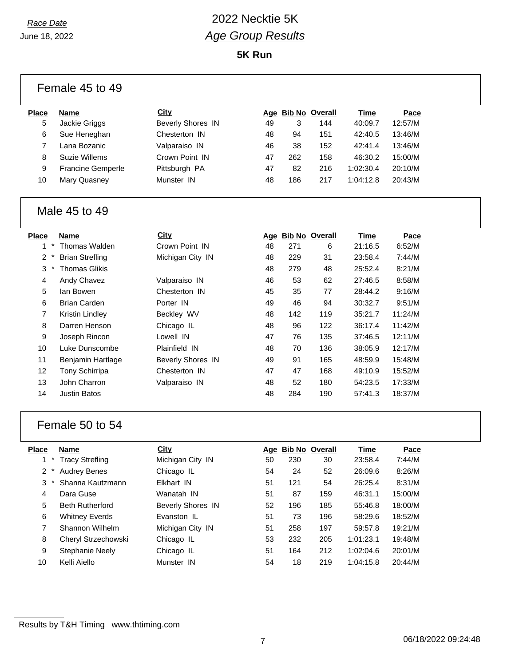| Female 45 to 49 |                          |                          |    |     |                    |             |         |  |  |
|-----------------|--------------------------|--------------------------|----|-----|--------------------|-------------|---------|--|--|
| <b>Place</b>    | <b>Name</b>              | City                     |    |     | Age Bib No Overall | <b>Time</b> | Pace    |  |  |
| 5               | Jackie Griggs            | <b>Beverly Shores IN</b> | 49 | 3   | 144                | 40:09.7     | 12:57/M |  |  |
| 6               | Sue Heneghan             | Chesterton IN            | 48 | 94  | 151                | 42:40.5     | 13:46/M |  |  |
| $\overline{7}$  | Lana Bozanic             | Valparaiso IN            | 46 | 38  | 152                | 42:41.4     | 13:46/M |  |  |
| 8               | Suzie Willems            | Crown Point IN           | 47 | 262 | 158                | 46:30.2     | 15:00/M |  |  |
| 9               | <b>Francine Gemperle</b> | Pittsburgh PA            | 47 | 82  | 216                | 1:02:30.4   | 20:10/M |  |  |
| 10              | Mary Quasney             | Munster IN               | 48 | 186 | 217                | 1:04:12.8   | 20:43/M |  |  |
|                 | Male 45 to 49            |                          |    |     |                    |             |         |  |  |
| <b>Place</b>    | Name                     | City                     |    |     | Age Bib No Overall | Time        | Pace    |  |  |
| $1*$            | Thomas Walden            | Crown Point IN           | 48 | 271 | 6                  | 21:16.5     | 6:52/M  |  |  |
| $2 *$           | <b>Brian Strefling</b>   | Michigan City IN         | 48 | 229 | 31                 | 23:58.4     | 7:44/M  |  |  |
| 3               | <b>Thomas Glikis</b>     |                          | 48 | 279 | 48                 | 25:52.4     | 8:21/M  |  |  |
| 4               | Andy Chavez              | Valparaiso IN            | 46 | 53  | 62                 | 27:46.5     | 8:58/M  |  |  |
| 5               | lan Bowen                | Chesterton IN            | 45 | 35  | 77                 | 28:44.2     | 9:16/M  |  |  |
| 6               | <b>Brian Carden</b>      | Porter IN                | 49 | 46  | 94                 | 30:32.7     | 9:51/M  |  |  |
| $\overline{7}$  | Kristin Lindley          | Beckley WV               | 48 | 142 | 119                | 35:21.7     | 11:24/M |  |  |
| $\,8\,$         | Darren Henson            | Chicago IL               | 48 | 96  | 122                | 36:17.4     | 11:42/M |  |  |
| 9               | Joseph Rincon            | Lowell IN                | 47 | 76  | 135                | 37:46.5     | 12:11/M |  |  |
| 10              | Luke Dunscombe           | Plainfield IN            | 48 | 70  | 136                | 38:05.9     | 12:17/M |  |  |
| 11              | Benjamin Hartlage        | <b>Beverly Shores IN</b> | 49 | 91  | 165                | 48:59.9     | 15:48/M |  |  |
| 12              | Tony Schirripa           | Chesterton IN            | 47 | 47  | 168                | 49:10.9     | 15:52/M |  |  |
| 13              | John Charron             | Valparaiso IN            | 48 | 52  | 180                | 54:23.5     | 17:33/M |  |  |
| 14              | <b>Justin Batos</b>      |                          | 48 | 284 | 190                | 57:41.3     | 18:37/M |  |  |
|                 | Female 50 to 54          |                          |    |     |                    |             |         |  |  |
| <b>Place</b>    | <b>Name</b>              | <b>City</b>              |    |     | Age Bib No Overall | <b>Time</b> | Pace    |  |  |
| $1*$            | <b>Tracy Strefling</b>   | Michigan City IN         | 50 | 230 | 30                 | 23:58.4     | 7:44/M  |  |  |

|                      | Tracy Strefling        | Michigan City IN         | 50 | 230 | 30  | 23:58.4   | 7:44/M  |
|----------------------|------------------------|--------------------------|----|-----|-----|-----------|---------|
| $\mathbf{2}^{\circ}$ | <b>Audrey Benes</b>    | Chicago IL               | 54 | 24  | 52  | 26:09.6   | 8:26/M  |
| 3                    | Shanna Kautzmann       | Elkhart IN               | 51 | 121 | 54  | 26:25.4   | 8:31/M  |
| 4                    | Dara Guse              | Wanatah IN               | 51 | 87  | 159 | 46:31.1   | 15:00/M |
| 5                    | <b>Beth Rutherford</b> | <b>Beverly Shores IN</b> | 52 | 196 | 185 | 55:46.8   | 18:00/M |
| 6                    | <b>Whitney Everds</b>  | Evanston IL              | 51 | 73  | 196 | 58:29.6   | 18:52/M |
| 7                    | Shannon Wilhelm        | Michigan City IN         | 51 | 258 | 197 | 59:57.8   | 19:21/M |
| 8                    | Cheryl Strzechowski    | Chicago IL               | 53 | 232 | 205 | 1:01:23.1 | 19:48/M |
| 9                    | Stephanie Neely        | Chicago IL               | 51 | 164 | 212 | 1:02:04.6 | 20:01/M |
| 10                   | Kelli Aiello           | Munster IN               | 54 | 18  | 219 | 1:04:15.8 | 20:44/M |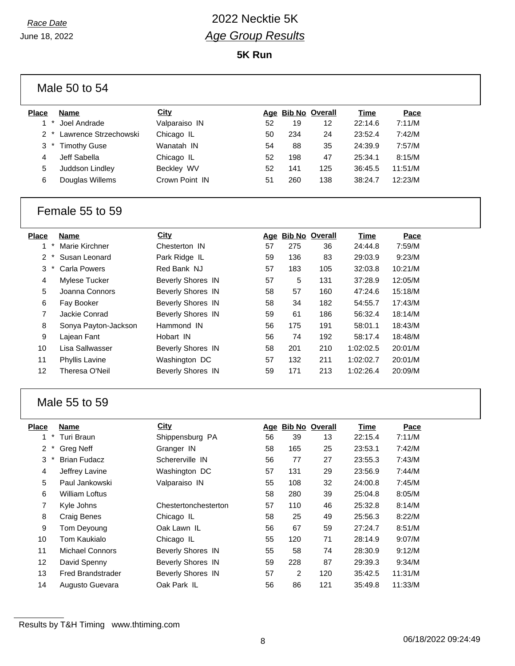**5K Run**

| Place | <b>Name</b>           | City           |    | Age Bib No Overall |     | Time    | Pace    |  |
|-------|-----------------------|----------------|----|--------------------|-----|---------|---------|--|
|       | Joel Andrade          | Valparaiso IN  | 52 | 19                 | 12  | 22:14.6 | 7:11/M  |  |
| $2^*$ | Lawrence Strzechowski | Chicago IL     | 50 | 234                | 24  | 23:52.4 | 7:42/M  |  |
| $3^*$ | <b>Timothy Guse</b>   | Wanatah IN     | 54 | 88                 | 35  | 24:39.9 | 7:57/M  |  |
| 4     | Jeff Sabella          | Chicago IL     | 52 | 198                | 47  | 25:34.1 | 8:15/M  |  |
| 5     | Juddson Lindley       | Beckley WV     | 52 | 141                | 125 | 36:45.5 | 11:51/M |  |
| 6     | Douglas Willems       | Crown Point IN | 51 | 260                | 138 | 38:24.7 | 12:23/M |  |
|       |                       |                |    |                    |     |         |         |  |

#### Female 55 to 59

| <b>Place</b> | <b>Name</b>          | City                     |    | Age Bib No Overall |     | <b>Time</b> | Pace    |
|--------------|----------------------|--------------------------|----|--------------------|-----|-------------|---------|
| $\star$<br>1 | Marie Kirchner       | Chesterton IN            | 57 | 275                | 36  | 24:44.8     | 7:59/M  |
| 2            | Susan Leonard        | Park Ridge IL            | 59 | 136                | 83  | 29:03.9     | 9:23/M  |
| 3<br>$\ast$  | Carla Powers         | Red Bank NJ              | 57 | 183                | 105 | 32:03.8     | 10:21/M |
| 4            | Mylese Tucker        | <b>Beverly Shores IN</b> | 57 | 5                  | 131 | 37:28.9     | 12:05/M |
| 5            | Joanna Connors       | <b>Beverly Shores IN</b> | 58 | 57                 | 160 | 47:24.6     | 15:18/M |
| 6            | Fay Booker           | <b>Beverly Shores IN</b> | 58 | 34                 | 182 | 54:55.7     | 17:43/M |
| 7            | Jackie Conrad        | <b>Beverly Shores IN</b> | 59 | 61                 | 186 | 56:32.4     | 18:14/M |
| 8            | Sonya Payton-Jackson | Hammond IN               | 56 | 175                | 191 | 58:01.1     | 18:43/M |
| 9            | Lajean Fant          | Hobart IN                | 56 | 74                 | 192 | 58:17.4     | 18:48/M |
| 10           | Lisa Sallwasser      | <b>Beverly Shores IN</b> | 58 | 201                | 210 | 1:02:02.5   | 20:01/M |
| 11           | Phyllis Lavine       | Washington DC            | 57 | 132                | 211 | 1:02:02.7   | 20:01/M |
| 12           | Theresa O'Neil       | <b>Beverly Shores IN</b> | 59 | 171                | 213 | 1:02:26.4   | 20:09/M |

#### Male 55 to 59

| <b>Place</b>   | <b>Name</b>              | City                     | Age | <b>Bib No Overall</b> |     | Time    | Pace    |
|----------------|--------------------------|--------------------------|-----|-----------------------|-----|---------|---------|
| $\ast$<br>1    | Turi Braun               | Shippensburg PA          | 56  | 39                    | 13  | 22:15.4 | 7:11/M  |
| $\overline{2}$ | <b>Greg Neff</b>         | Granger IN               | 58  | 165                   | 25  | 23:53.1 | 7:42/M  |
| 3              | <b>Brian Fudacz</b>      | Schererville IN          | 56  | 77                    | 27  | 23:55.3 | 7:43/M  |
| 4              | Jeffrey Lavine           | Washington DC            | 57  | 131                   | 29  | 23:56.9 | 7:44/M  |
| 5              | Paul Jankowski           | Valparaiso IN            | 55  | 108                   | 32  | 24:00.8 | 7:45/M  |
| 6              | <b>William Loftus</b>    |                          | 58  | 280                   | 39  | 25:04.8 | 8:05/M  |
| 7              | Kyle Johns               | Chestertonchesterton     | 57  | 110                   | 46  | 25:32.8 | 8:14/M  |
| 8              | Craig Benes              | Chicago IL               | 58  | 25                    | 49  | 25:56.3 | 8:22/M  |
| 9              | Tom Deyoung              | Oak Lawn IL              | 56  | 67                    | 59  | 27:24.7 | 8:51/M  |
| 10             | Tom Kaukialo             | Chicago IL               | 55  | 120                   | 71  | 28:14.9 | 9:07/M  |
| 11             | <b>Michael Connors</b>   | <b>Beverly Shores IN</b> | 55  | 58                    | 74  | 28:30.9 | 9:12/M  |
| 12             | David Spenny             | <b>Beverly Shores IN</b> | 59  | 228                   | 87  | 29:39.3 | 9:34/M  |
| 13             | <b>Fred Brandstrader</b> | <b>Beverly Shores IN</b> | 57  | 2                     | 120 | 35:42.5 | 11:31/M |
| 14             | Augusto Guevara          | Oak Park IL              | 56  | 86                    | 121 | 35:49.8 | 11:33/M |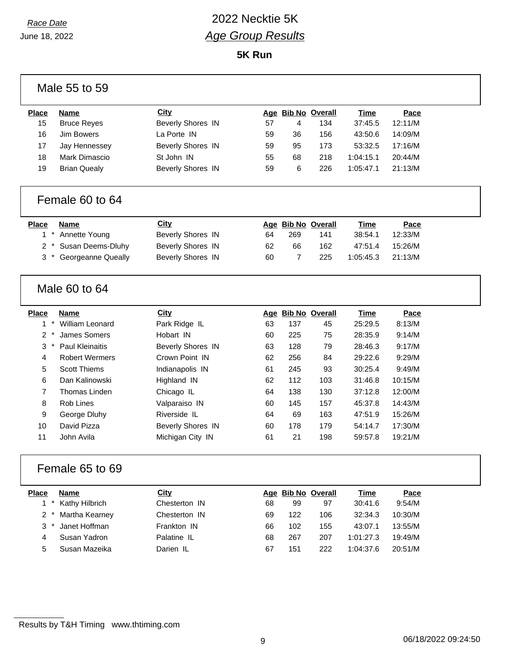### *Race Date* 2022 Necktie 5K *Age Group Results*

| Male 55 to 59            |                        |                          |    |                    |                    |             |         |  |
|--------------------------|------------------------|--------------------------|----|--------------------|--------------------|-------------|---------|--|
| <b>Place</b>             | <b>Name</b>            | City                     |    |                    | Age Bib No Overall | <b>Time</b> | Pace    |  |
| 15                       | <b>Bruce Reyes</b>     | <b>Beverly Shores IN</b> | 57 | 4                  | 134                | 37:45.5     | 12:11/M |  |
| 16                       | <b>Jim Bowers</b>      | La Porte IN              | 59 | 36                 | 156                | 43:50.6     | 14:09/M |  |
| 17                       | Jay Hennessey          | <b>Beverly Shores IN</b> | 59 | 95                 | 173                | 53:32.5     | 17:16/M |  |
| 18                       | Mark Dimascio          | St John IN               | 55 | 68                 | 218                | 1:04:15.1   | 20:44/M |  |
| 19                       | <b>Brian Quealy</b>    | <b>Beverly Shores IN</b> | 59 | 6                  | 226                | 1:05:47.1   | 21:13/M |  |
|                          | Female 60 to 64        |                          |    |                    |                    |             |         |  |
| <b>Place</b>             | <b>Name</b>            | City                     |    | Age Bib No Overall |                    | <b>Time</b> | Pace    |  |
| $1 *$                    | Annette Young          | <b>Beverly Shores IN</b> | 64 | 269                | 141                | 38:54.1     | 12:33/M |  |
| $\overline{2}$           | Susan Deems-Dluhy      | <b>Beverly Shores IN</b> | 62 | 66                 | 162                | 47:51.4     | 15:26/M |  |
| 3                        | Georgeanne Queally     | <b>Beverly Shores IN</b> | 60 | $\overline{7}$     | 225                | 1:05:45.3   | 21:13/M |  |
|                          | Male 60 to 64          |                          |    |                    |                    |             |         |  |
| <b>Place</b>             | <b>Name</b>            | <b>City</b>              |    |                    | Age Bib No Overall | Time        | Pace    |  |
| $^\star$<br>$\mathbf{1}$ | <b>William Leonard</b> | Park Ridge IL            | 63 | 137                | 45                 | 25:29.5     | 8:13/M  |  |
| $\ast$<br>$\overline{2}$ | James Somers           | Hobart IN                | 60 | 225                | 75                 | 28:35.9     | 9:14/M  |  |
| 3                        | <b>Paul Kleinaitis</b> | <b>Beverly Shores IN</b> | 63 | 128                | 79                 | 28:46.3     | 9:17/M  |  |
| 4                        | <b>Robert Wermers</b>  | Crown Point IN           | 62 | 256                | 84                 | 29:22.6     | 9:29/M  |  |
| 5                        | <b>Scott Thiems</b>    | Indianapolis IN          | 61 | 245                | 93                 | 30:25.4     | 9:49/M  |  |
| 6                        | Dan Kalinowski         | Highland IN              | 62 | 112                | 103                | 31:46.8     | 10:15/M |  |
| 7                        | Thomas Linden          | Chicago IL               | 64 | 138                | 130                | 37:12.8     | 12:00/M |  |
| 8                        | Rob Lines              | Valparaiso IN            | 60 | 145                | 157                | 45:37.8     | 14:43/M |  |
| 9                        | George Dluhy           | Riverside IL             | 64 | 69                 | 163                | 47:51.9     | 15:26/M |  |
| 10                       | David Pizza            | <b>Beverly Shores IN</b> | 60 | 178                | 179                | 54:14.7     | 17:30/M |  |
| 11                       | John Avila             | Michigan City IN         | 61 | 21                 | 198                | 59:57.8     | 19:21/M |  |
| Female 65 to 69          |                        |                          |    |                    |                    |             |         |  |
| <b>Place</b>             | <b>Name</b>            | City                     |    | Age Bib No Overall |                    | <b>Time</b> | Pace    |  |
| 1                        | Kathy Hilbrich         | Chesterton IN            | 68 | 99                 | 97                 | 30:41.6     | 9:54/M  |  |
| $\overline{2}$           | Martha Kearney         | Chesterton IN            | 69 | 122                | 106                | 32:34.3     | 10:30/M |  |
| 3                        | Janet Hoffman          | Frankton IN              | 66 | 102                | 155                | 43:07.1     | 13:55/M |  |
| 4                        | Susan Yadron           | Palatine IL              | 68 | 267                | 207                | 1:01:27.3   | 19:49/M |  |
| 5                        | Susan Mazeika          | Darien IL                | 67 | 151                | 222                | 1:04:37.6   | 20:51/M |  |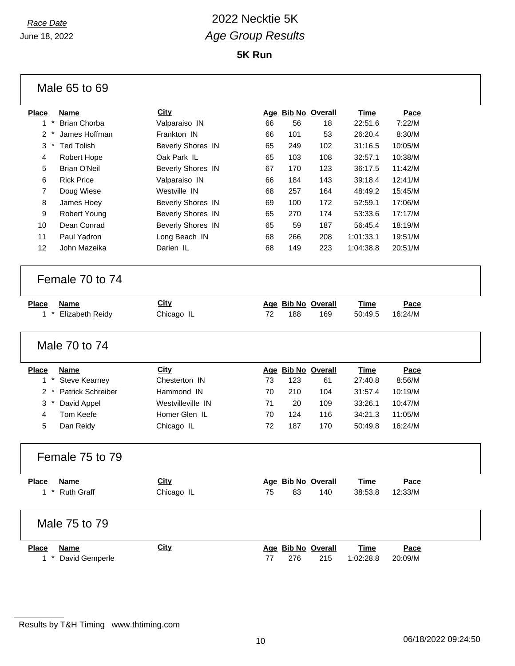## *Race Date* 2022 Necktie 5K *Age Group Results*

| Male 65 to 69                                         |                          |    |                           |     |                   |                        |
|-------------------------------------------------------|--------------------------|----|---------------------------|-----|-------------------|------------------------|
| <b>Place</b><br><b>Name</b>                           | <b>City</b>              |    | Age Bib No Overall        |     | Time              | Pace                   |
| $1 *$<br><b>Brian Chorba</b>                          | Valparaiso IN            | 66 | 56                        | 18  | 22:51.6           | 7:22/M                 |
| James Hoffman<br>$2^*$                                | Frankton IN              | 66 | 101                       | 53  | 26:20.4           | 8:30/M                 |
| 3<br><b>Ted Tolish</b>                                | <b>Beverly Shores IN</b> | 65 | 249                       | 102 | 31:16.5           | 10:05/M                |
| 4<br>Robert Hope                                      | Oak Park IL              | 65 | 103                       | 108 | 32:57.1           | 10:38/M                |
| <b>Brian O'Neil</b><br>5                              | <b>Beverly Shores IN</b> | 67 | 170                       | 123 | 36:17.5           | 11:42/M                |
| <b>Rick Price</b><br>6                                | Valparaiso IN            | 66 | 184                       | 143 | 39:18.4           | 12:41/M                |
| $\overline{7}$<br>Doug Wiese                          | Westville IN             | 68 | 257                       | 164 | 48:49.2           | 15:45/M                |
| 8<br>James Hoey                                       | <b>Beverly Shores IN</b> | 69 | 100                       | 172 | 52:59.1           | 17:06/M                |
| 9<br>Robert Young                                     | Beverly Shores IN        | 65 | 270                       | 174 | 53:33.6           | 17:17/M                |
| Dean Conrad<br>10                                     | Beverly Shores IN        | 65 | 59                        | 187 | 56:45.4           | 18:19/M                |
| 11<br>Paul Yadron                                     | Long Beach IN            | 68 | 266                       | 208 | 1:01:33.1         | 19:51/M                |
| 12<br>John Mazeika                                    | Darien IL                | 68 | 149                       | 223 | 1:04:38.8         | 20:51/M                |
| Female 70 to 74                                       |                          |    |                           |     |                   |                        |
| <b>Place</b><br><b>Name</b>                           | <b>City</b>              |    | Age Bib No Overall        |     | <b>Time</b>       | Pace                   |
| $1*$<br>Elizabeth Reidy                               | Chicago IL               | 72 | 188                       | 169 | 50:49.5           | 16:24/M                |
| Male 70 to 74                                         |                          |    |                           |     |                   |                        |
| <b>Place</b><br><b>Name</b>                           | <b>City</b>              |    | Age Bib No Overall        |     | <b>Time</b>       | Pace                   |
| $1 *$<br><b>Steve Kearney</b>                         | Chesterton IN            | 73 | 123                       | 61  | 27:40.8           | 8:56/M                 |
| Patrick Schreiber<br>$2 *$                            | Hammond IN               | 70 | 210                       | 104 | 31:57.4           | 10:19/M                |
| 3<br>David Appel                                      | Westvilleville IN        | 71 | 20                        | 109 | 33:26.1           | 10:47/M                |
| Tom Keefe<br>4                                        | Homer Glen IL            | 70 | 124                       | 116 | 34:21.3           | 11:05/M                |
| 5<br>Dan Reidy                                        | Chicago IL               | 72 | 187                       | 170 | 50:49.8           | 16:24/M                |
| Female 75 to 79                                       |                          |    |                           |     |                   |                        |
| <b>Name</b><br><b>Place</b>                           | <b>City</b>              |    | Age Bib No Overall        |     | <b>Time</b>       | Pace                   |
| 1 * Ruth Graff                                        | Chicago IL               | 75 | 83                        | 140 | 38:53.8           | 12:33/M                |
| Male 75 to 79                                         |                          |    |                           |     |                   |                        |
| <b>Place</b><br><b>Name</b><br>David Gemperle<br>$1*$ | <b>City</b>              | 77 | Age Bib No Overall<br>276 | 215 | Time<br>1:02:28.8 | <b>Pace</b><br>20:09/M |